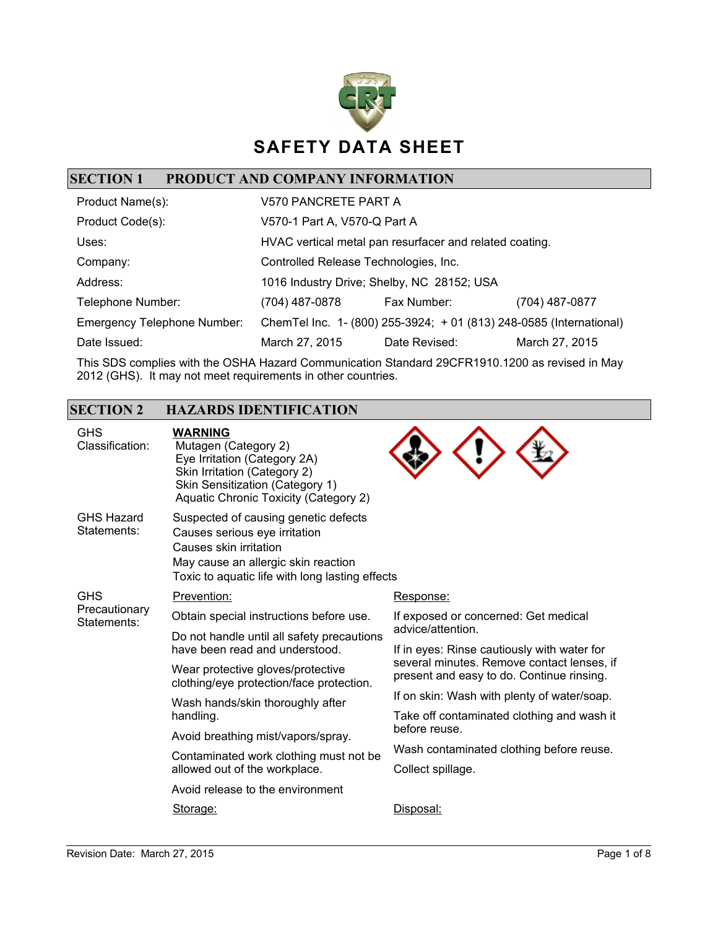

# **SECTION 1 PRODUCT AND COMPANY INFORMATION**

| Product Name(s):                   | V570 PANCRETE PART A                  |                                                                     |                |
|------------------------------------|---------------------------------------|---------------------------------------------------------------------|----------------|
| Product Code(s):                   | V570-1 Part A, V570-Q Part A          |                                                                     |                |
| Uses:                              |                                       | HVAC vertical metal pan resurfacer and related coating.             |                |
| Company:                           | Controlled Release Technologies, Inc. |                                                                     |                |
| Address:                           |                                       | 1016 Industry Drive; Shelby, NC 28152; USA                          |                |
| Telephone Number:                  | (704) 487-0878                        | Fax Number:                                                         | (704) 487-0877 |
| <b>Emergency Telephone Number:</b> |                                       | ChemTel Inc. 1- (800) 255-3924; + 01 (813) 248-0585 (International) |                |
| Date Issued:                       | March 27, 2015                        | Date Revised:                                                       | March 27, 2015 |

This SDS complies with the OSHA Hazard Communication Standard 29CFR1910.1200 as revised in May 2012 (GHS). It may not meet requirements in other countries.

### **SECTION 2 HAZARDS IDENTIFICATION**

| <b>GHS</b><br>Classification:    | <b>WARNING</b><br>Mutagen (Category 2)<br>Eye Irritation (Category 2A)<br>Skin Irritation (Category 2)<br>Skin Sensitization (Category 1)<br>Aquatic Chronic Toxicity (Category 2)        |                                                                                                                                        |
|----------------------------------|-------------------------------------------------------------------------------------------------------------------------------------------------------------------------------------------|----------------------------------------------------------------------------------------------------------------------------------------|
| <b>GHS Hazard</b><br>Statements: | Suspected of causing genetic defects<br>Causes serious eye irritation<br>Causes skin irritation<br>May cause an allergic skin reaction<br>Toxic to aquatic life with long lasting effects |                                                                                                                                        |
| <b>GHS</b>                       | Prevention:                                                                                                                                                                               | Response:                                                                                                                              |
| Precautionary<br>Statements:     | Obtain special instructions before use.                                                                                                                                                   | If exposed or concerned: Get medical                                                                                                   |
|                                  | Do not handle until all safety precautions                                                                                                                                                | advice/attention.                                                                                                                      |
|                                  | have been read and understood.                                                                                                                                                            | If in eyes: Rinse cautiously with water for<br>several minutes. Remove contact lenses, if<br>present and easy to do. Continue rinsing. |
|                                  | Wear protective gloves/protective<br>clothing/eye protection/face protection.                                                                                                             |                                                                                                                                        |
|                                  | Wash hands/skin thoroughly after<br>handling.                                                                                                                                             | If on skin: Wash with plenty of water/soap.                                                                                            |
|                                  |                                                                                                                                                                                           | Take off contaminated clothing and wash it<br>before reuse.                                                                            |
|                                  | Avoid breathing mist/vapors/spray.                                                                                                                                                        |                                                                                                                                        |
|                                  | Contaminated work clothing must not be                                                                                                                                                    | Wash contaminated clothing before reuse.                                                                                               |
|                                  | allowed out of the workplace.                                                                                                                                                             | Collect spillage.                                                                                                                      |
|                                  | Avoid release to the environment                                                                                                                                                          |                                                                                                                                        |
|                                  | Storage:                                                                                                                                                                                  | Disposal:                                                                                                                              |
|                                  |                                                                                                                                                                                           |                                                                                                                                        |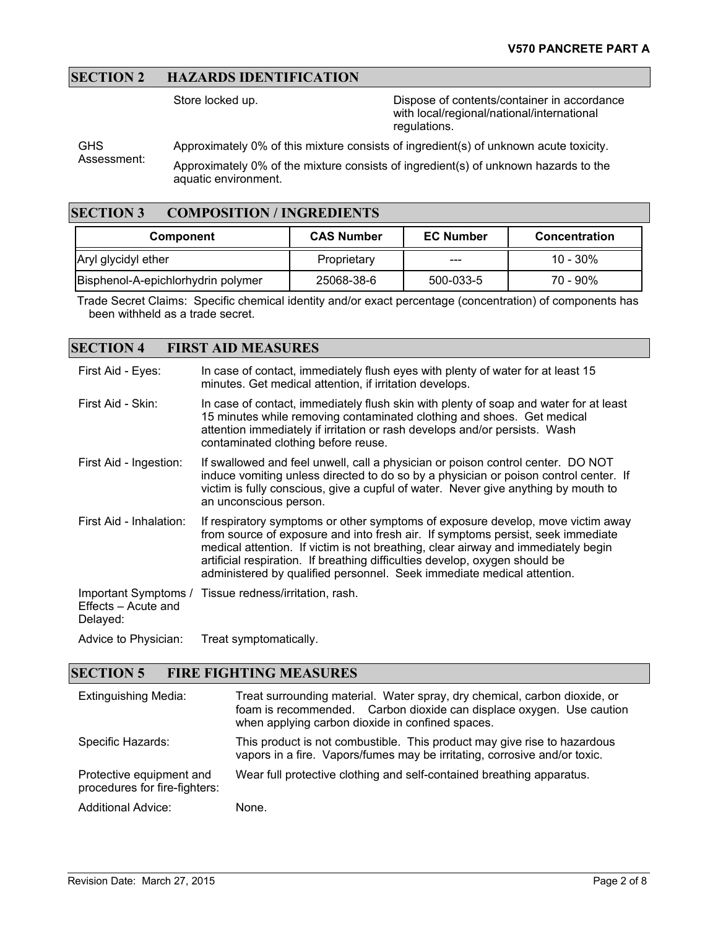### **SECTION 2 HAZARDS IDENTIFICATION**

Store locked up. Dispose of contents/container in accordance with local/regional/national/international regulations.

**GHS** Approximately 0% of this mixture consists of ingredient(s) of unknown acute toxicity.

Assessment: Approximately 0% of the mixture consists of ingredient(s) of unknown hazards to the aquatic environment.

### **SECTION 3 COMPOSITION / INGREDIENTS**

| <b>Component</b>                   | <b>CAS Number</b> | <b>EC Number</b> | <b>Concentration</b> |
|------------------------------------|-------------------|------------------|----------------------|
| Aryl glycidyl ether                | Proprietary       | ---              | $10 - 30\%$          |
| Bisphenol-A-epichlorhydrin polymer | 25068-38-6        | 500-033-5        | $70 - 90\%$          |

Trade Secret Claims: Specific chemical identity and/or exact percentage (concentration) of components has been withheld as a trade secret.

#### **SECTION 4 FIRST AID MEASURES**

| First Aid - Eyes:               | In case of contact, immediately flush eyes with plenty of water for at least 15<br>minutes. Get medical attention, if irritation develops.                                                                                                                                                                                                                                                                       |
|---------------------------------|------------------------------------------------------------------------------------------------------------------------------------------------------------------------------------------------------------------------------------------------------------------------------------------------------------------------------------------------------------------------------------------------------------------|
| First Aid - Skin:               | In case of contact, immediately flush skin with plenty of soap and water for at least<br>15 minutes while removing contaminated clothing and shoes. Get medical<br>attention immediately if irritation or rash develops and/or persists. Wash<br>contaminated clothing before reuse.                                                                                                                             |
| First Aid - Ingestion:          | If swallowed and feel unwell, call a physician or poison control center. DO NOT<br>induce vomiting unless directed to do so by a physician or poison control center. If<br>victim is fully conscious, give a cupful of water. Never give anything by mouth to<br>an unconscious person.                                                                                                                          |
| First Aid - Inhalation:         | If respiratory symptoms or other symptoms of exposure develop, move victim away<br>from source of exposure and into fresh air. If symptoms persist, seek immediate<br>medical attention. If victim is not breathing, clear airway and immediately begin<br>artificial respiration. If breathing difficulties develop, oxygen should be<br>administered by qualified personnel. Seek immediate medical attention. |
| Effects – Acute and<br>Delayed: | Important Symptoms / Tissue redness/irritation, rash.                                                                                                                                                                                                                                                                                                                                                            |
| Advice to Physician:            | Treat symptomatically.                                                                                                                                                                                                                                                                                                                                                                                           |

#### **SECTION 5 FIRE FIGHTING MEASURES**

| <b>Extinguishing Media:</b>                               | Treat surrounding material. Water spray, dry chemical, carbon dioxide, or<br>foam is recommended. Carbon dioxide can displace oxygen. Use caution<br>when applying carbon dioxide in confined spaces. |
|-----------------------------------------------------------|-------------------------------------------------------------------------------------------------------------------------------------------------------------------------------------------------------|
| Specific Hazards:                                         | This product is not combustible. This product may give rise to hazardous<br>vapors in a fire. Vapors/fumes may be irritating, corrosive and/or toxic.                                                 |
| Protective equipment and<br>procedures for fire-fighters: | Wear full protective clothing and self-contained breathing apparatus.                                                                                                                                 |
| <b>Additional Advice:</b>                                 | None.                                                                                                                                                                                                 |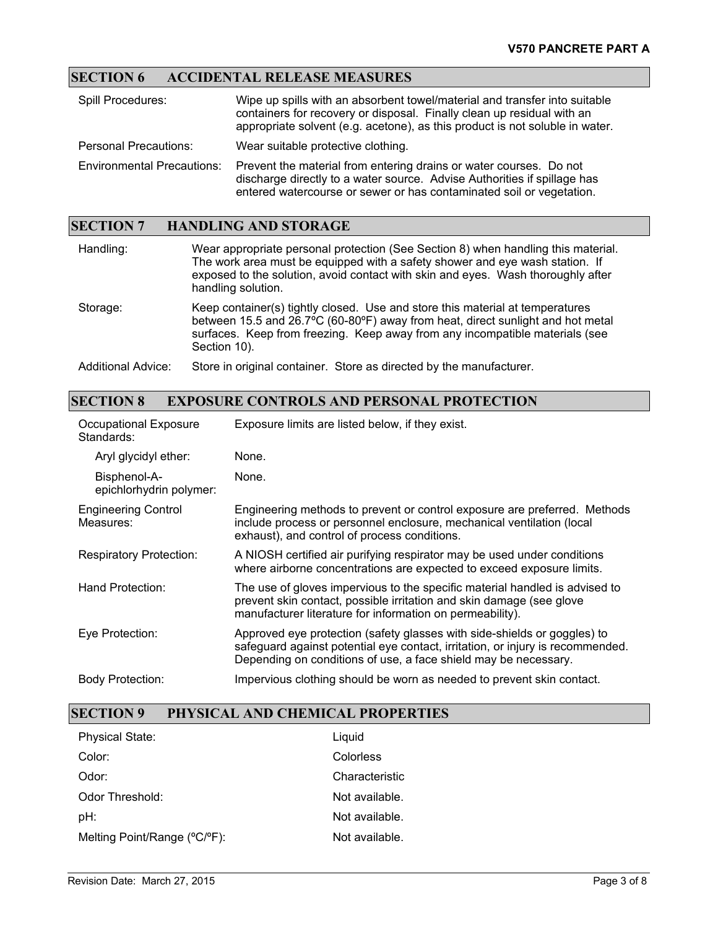# **SECTION 6 ACCIDENTAL RELEASE MEASURES**

| <b>Spill Procedures:</b>          | Wipe up spills with an absorbent towel/material and transfer into suitable<br>containers for recovery or disposal. Finally clean up residual with an<br>appropriate solvent (e.g. acetone), as this product is not soluble in water. |
|-----------------------------------|--------------------------------------------------------------------------------------------------------------------------------------------------------------------------------------------------------------------------------------|
| <b>Personal Precautions:</b>      | Wear suitable protective clothing.                                                                                                                                                                                                   |
| <b>Environmental Precautions:</b> | Prevent the material from entering drains or water courses. Do not<br>discharge directly to a water source. Advise Authorities if spillage has<br>entered watercourse or sewer or has contaminated soil or vegetation.               |

### **SECTION 7 HANDLING AND STORAGE**

| Handling:          | Wear appropriate personal protection (See Section 8) when handling this material.<br>The work area must be equipped with a safety shower and eye wash station. If<br>exposed to the solution, avoid contact with skin and eyes. Wash thoroughly after<br>handling solution. |
|--------------------|-----------------------------------------------------------------------------------------------------------------------------------------------------------------------------------------------------------------------------------------------------------------------------|
| Storage:           | Keep container(s) tightly closed. Use and store this material at temperatures<br>between 15.5 and 26.7°C (60-80°F) away from heat, direct sunlight and hot metal<br>surfaces. Keep from freezing. Keep away from any incompatible materials (see<br>Section 10).            |
| Additional Advice: | Store in original container. Store as directed by the manufacturer.                                                                                                                                                                                                         |

### **SECTION 8 EXPOSURE CONTROLS AND PERSONAL PROTECTION**

| <b>Occupational Exposure</b><br>Standards: | Exposure limits are listed below, if they exist.                                                                                                                                                                              |
|--------------------------------------------|-------------------------------------------------------------------------------------------------------------------------------------------------------------------------------------------------------------------------------|
| Aryl glycidyl ether:                       | None.                                                                                                                                                                                                                         |
| Bisphenol-A-<br>epichlorhydrin polymer:    | None.                                                                                                                                                                                                                         |
| <b>Engineering Control</b><br>Measures:    | Engineering methods to prevent or control exposure are preferred. Methods<br>include process or personnel enclosure, mechanical ventilation (local<br>exhaust), and control of process conditions.                            |
| <b>Respiratory Protection:</b>             | A NIOSH certified air purifying respirator may be used under conditions<br>where airborne concentrations are expected to exceed exposure limits.                                                                              |
| Hand Protection:                           | The use of gloves impervious to the specific material handled is advised to<br>prevent skin contact, possible irritation and skin damage (see glove<br>manufacturer literature for information on permeability).              |
| Eye Protection:                            | Approved eye protection (safety glasses with side-shields or goggles) to<br>safeguard against potential eye contact, irritation, or injury is recommended.<br>Depending on conditions of use, a face shield may be necessary. |
| <b>Body Protection:</b>                    | Impervious clothing should be worn as needed to prevent skin contact.                                                                                                                                                         |

## **SECTION 9 PHYSICAL AND CHEMICAL PROPERTIES**

| <b>Physical State:</b>       | Liquid         |
|------------------------------|----------------|
| Color:                       | Colorless      |
| $O$ dor:                     | Characteristic |
| Odor Threshold:              | Not available. |
| pH:                          | Not available. |
| Melting Point/Range (°C/°F): | Not available. |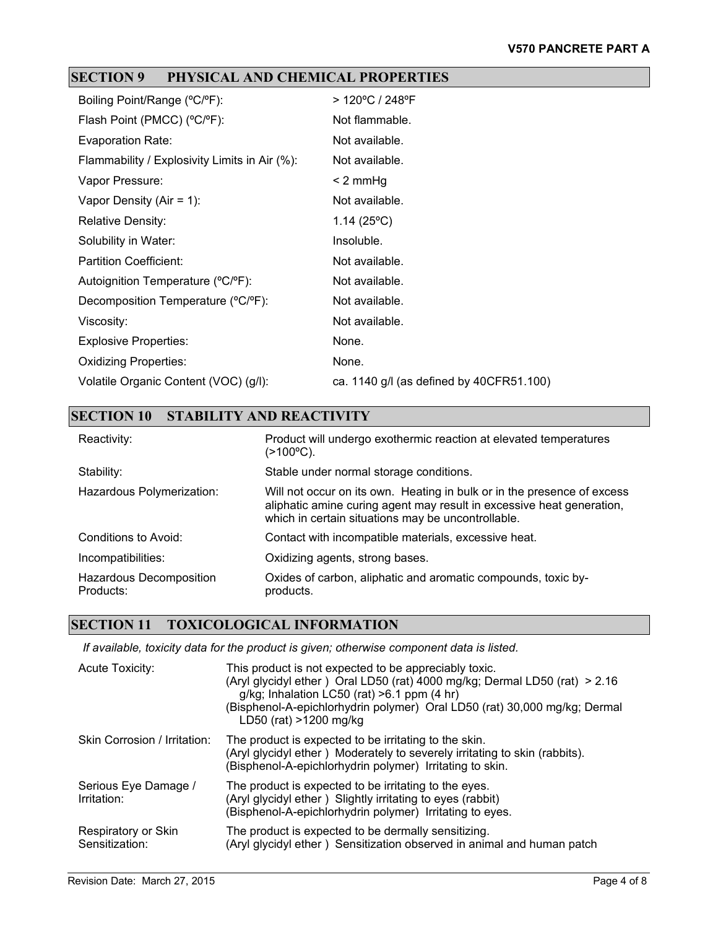# **SECTION 9 PHYSICAL AND CHEMICAL PROPERTIES**

| Boiling Point/Range (°C/°F):                  | > 120°C / 248°F                          |
|-----------------------------------------------|------------------------------------------|
| Flash Point (PMCC) (°C/°F):                   | Not flammable.                           |
| Evaporation Rate:                             | Not available.                           |
| Flammability / Explosivity Limits in Air (%): | Not available.                           |
| Vapor Pressure:                               | $< 2$ mmHg                               |
| Vapor Density (Air = 1):                      | Not available.                           |
| <b>Relative Density:</b>                      | 1.14 $(25^{\circ}C)$                     |
| Solubility in Water:                          | Insoluble.                               |
| <b>Partition Coefficient:</b>                 | Not available.                           |
| Autoignition Temperature (°C/°F):             | Not available.                           |
| Decomposition Temperature (°C/°F):            | Not available.                           |
| Viscosity:                                    | Not available.                           |
| <b>Explosive Properties:</b>                  | None.                                    |
| <b>Oxidizing Properties:</b>                  | None.                                    |
| Volatile Organic Content (VOC) (g/l):         | ca. 1140 g/l (as defined by 40CFR51.100) |

# **SECTION 10 STABILITY AND REACTIVITY**

| Reactivity:                          | Product will undergo exothermic reaction at elevated temperatures<br>(>100°C).                                                                                                                         |
|--------------------------------------|--------------------------------------------------------------------------------------------------------------------------------------------------------------------------------------------------------|
| Stability:                           | Stable under normal storage conditions.                                                                                                                                                                |
| Hazardous Polymerization:            | Will not occur on its own. Heating in bulk or in the presence of excess<br>aliphatic amine curing agent may result in excessive heat generation,<br>which in certain situations may be uncontrollable. |
| Conditions to Avoid:                 | Contact with incompatible materials, excessive heat.                                                                                                                                                   |
| Incompatibilities:                   | Oxidizing agents, strong bases.                                                                                                                                                                        |
| Hazardous Decomposition<br>Products: | Oxides of carbon, aliphatic and aromatic compounds, toxic by-<br>products.                                                                                                                             |

## **SECTION 11 TOXICOLOGICAL INFORMATION**

*If available, toxicity data for the product is given; otherwise component data is listed.*

| Acute Toxicity:                       | This product is not expected to be appreciably toxic.<br>(Aryl glycidyl ether) Oral LD50 (rat) 4000 mg/kg; Dermal LD50 (rat) > 2.16<br>g/kg; Inhalation LC50 (rat) $>6.1$ ppm (4 hr)<br>(Bisphenol-A-epichlorhydrin polymer) Oral LD50 (rat) 30,000 mg/kg; Dermal<br>LD50 (rat) >1200 mg/kg |
|---------------------------------------|---------------------------------------------------------------------------------------------------------------------------------------------------------------------------------------------------------------------------------------------------------------------------------------------|
| Skin Corrosion / Irritation:          | The product is expected to be irritating to the skin.<br>(Aryl glycidyl ether) Moderately to severely irritating to skin (rabbits).<br>(Bisphenol-A-epichlorhydrin polymer) Irritating to skin.                                                                                             |
| Serious Eye Damage /<br>Irritation:   | The product is expected to be irritating to the eyes.<br>(Aryl glycidyl ether) Slightly irritating to eyes (rabbit)<br>(Bisphenol-A-epichlorhydrin polymer) Irritating to eyes.                                                                                                             |
| Respiratory or Skin<br>Sensitization: | The product is expected to be dermally sensitizing.<br>(Aryl glycidyl ether) Sensitization observed in animal and human patch                                                                                                                                                               |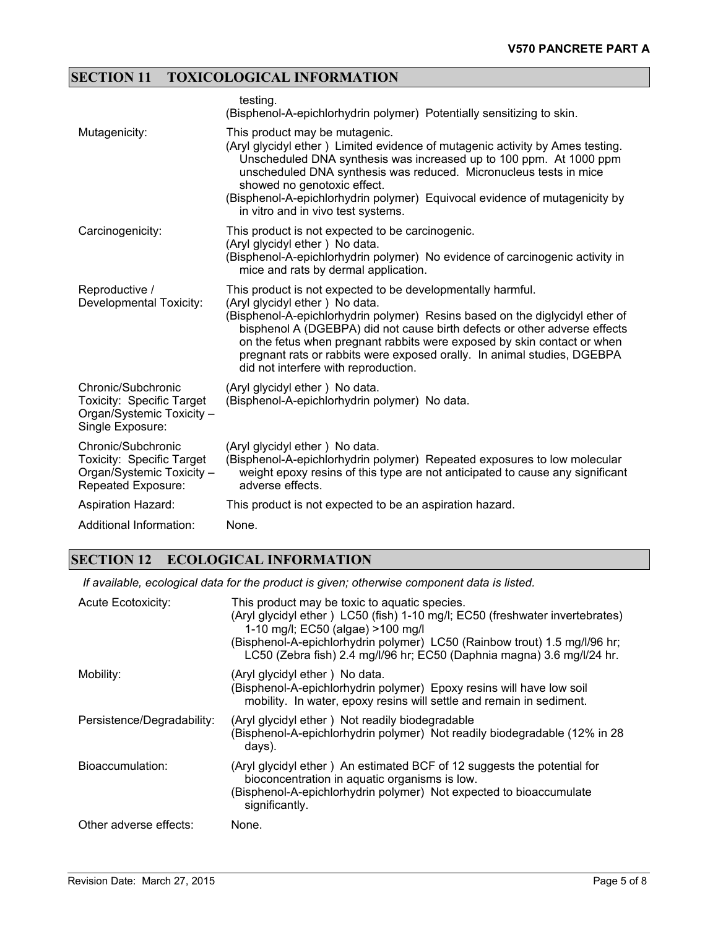# **SECTION 11 TOXICOLOGICAL INFORMATION**

|                                                                                                           | testing.<br>(Bisphenol-A-epichlorhydrin polymer) Potentially sensitizing to skin.                                                                                                                                                                                                                                                                                                                                                                        |
|-----------------------------------------------------------------------------------------------------------|----------------------------------------------------------------------------------------------------------------------------------------------------------------------------------------------------------------------------------------------------------------------------------------------------------------------------------------------------------------------------------------------------------------------------------------------------------|
| Mutagenicity:                                                                                             | This product may be mutagenic.<br>(Aryl glycidyl ether) Limited evidence of mutagenic activity by Ames testing.<br>Unscheduled DNA synthesis was increased up to 100 ppm. At 1000 ppm<br>unscheduled DNA synthesis was reduced. Micronucleus tests in mice<br>showed no genotoxic effect.<br>(Bisphenol-A-epichlorhydrin polymer) Equivocal evidence of mutagenicity by<br>in vitro and in vivo test systems.                                            |
| Carcinogenicity:                                                                                          | This product is not expected to be carcinogenic.<br>(Aryl glycidyl ether) No data.<br>(Bisphenol-A-epichlorhydrin polymer) No evidence of carcinogenic activity in<br>mice and rats by dermal application.                                                                                                                                                                                                                                               |
| Reproductive /<br>Developmental Toxicity:                                                                 | This product is not expected to be developmentally harmful.<br>(Aryl glycidyl ether) No data.<br>(Bisphenol-A-epichlorhydrin polymer) Resins based on the diglycidyl ether of<br>bisphenol A (DGEBPA) did not cause birth defects or other adverse effects<br>on the fetus when pregnant rabbits were exposed by skin contact or when<br>pregnant rats or rabbits were exposed orally. In animal studies, DGEBPA<br>did not interfere with reproduction. |
| Chronic/Subchronic<br><b>Toxicity: Specific Target</b><br>Organ/Systemic Toxicity -<br>Single Exposure:   | (Aryl glycidyl ether) No data.<br>(Bisphenol-A-epichlorhydrin polymer) No data.                                                                                                                                                                                                                                                                                                                                                                          |
| Chronic/Subchronic<br>Toxicity: Specific Target<br>Organ/Systemic Toxicity -<br><b>Repeated Exposure:</b> | (Aryl glycidyl ether) No data.<br>(Bisphenol-A-epichlorhydrin polymer) Repeated exposures to low molecular<br>weight epoxy resins of this type are not anticipated to cause any significant<br>adverse effects.                                                                                                                                                                                                                                          |
| <b>Aspiration Hazard:</b>                                                                                 | This product is not expected to be an aspiration hazard.                                                                                                                                                                                                                                                                                                                                                                                                 |
| Additional Information:                                                                                   | None.                                                                                                                                                                                                                                                                                                                                                                                                                                                    |

# **SECTION 12 ECOLOGICAL INFORMATION**

*If available, ecological data for the product is given; otherwise component data is listed.*

| <b>Acute Ecotoxicity:</b>  | This product may be toxic to aquatic species.<br>(Aryl glycidyl ether) LC50 (fish) 1-10 mg/l; EC50 (freshwater invertebrates)<br>1-10 mg/l; EC50 (algae) >100 mg/l<br>(Bisphenol-A-epichlorhydrin polymer) LC50 (Rainbow trout) 1.5 mg/l/96 hr;<br>LC50 (Zebra fish) 2.4 mg/l/96 hr; EC50 (Daphnia magna) 3.6 mg/l/24 hr. |
|----------------------------|---------------------------------------------------------------------------------------------------------------------------------------------------------------------------------------------------------------------------------------------------------------------------------------------------------------------------|
| Mobility:                  | (Aryl glycidyl ether) No data.<br>(Bisphenol-A-epichlorhydrin polymer) Epoxy resins will have low soil<br>mobility. In water, epoxy resins will settle and remain in sediment.                                                                                                                                            |
| Persistence/Degradability: | (Aryl glycidyl ether) Not readily biodegradable<br>(Bisphenol-A-epichlorhydrin polymer) Not readily biodegradable (12% in 28<br>days).                                                                                                                                                                                    |
| Bioaccumulation:           | (Aryl glycidyl ether) An estimated BCF of 12 suggests the potential for<br>bioconcentration in aquatic organisms is low.<br>(Bisphenol-A-epichlorhydrin polymer) Not expected to bioaccumulate<br>significantly.                                                                                                          |
| Other adverse effects:     | None.                                                                                                                                                                                                                                                                                                                     |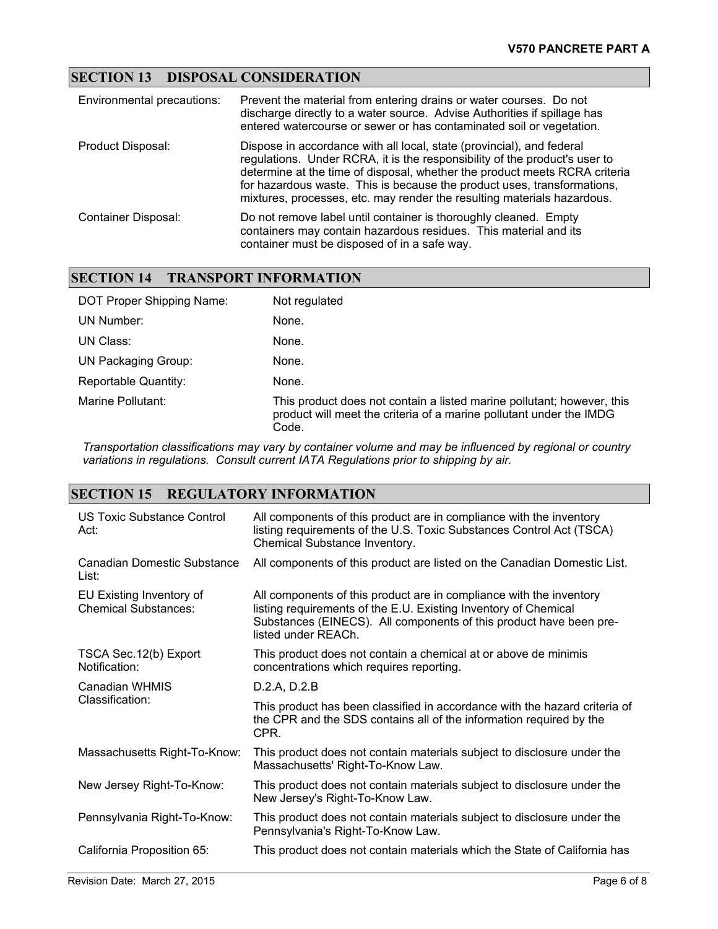## **SECTION 13 DISPOSAL CONSIDERATION**

| Environmental precautions: | Prevent the material from entering drains or water courses. Do not<br>discharge directly to a water source. Advise Authorities if spillage has<br>entered watercourse or sewer or has contaminated soil or vegetation.                                                                                                                                                                  |
|----------------------------|-----------------------------------------------------------------------------------------------------------------------------------------------------------------------------------------------------------------------------------------------------------------------------------------------------------------------------------------------------------------------------------------|
| Product Disposal:          | Dispose in accordance with all local, state (provincial), and federal<br>regulations. Under RCRA, it is the responsibility of the product's user to<br>determine at the time of disposal, whether the product meets RCRA criteria<br>for hazardous waste. This is because the product uses, transformations,<br>mixtures, processes, etc. may render the resulting materials hazardous. |
| Container Disposal:        | Do not remove label until container is thoroughly cleaned. Empty<br>containers may contain hazardous residues. This material and its<br>container must be disposed of in a safe way.                                                                                                                                                                                                    |

#### **SECTION 14 TRANSPORT INFORMATION**

| DOT Proper Shipping Name: | Not regulated                                                                                                                                          |
|---------------------------|--------------------------------------------------------------------------------------------------------------------------------------------------------|
| UN Number:                | None.                                                                                                                                                  |
| UN Class:                 | None.                                                                                                                                                  |
| UN Packaging Group:       | None.                                                                                                                                                  |
| Reportable Quantity:      | None.                                                                                                                                                  |
| Marine Pollutant:         | This product does not contain a listed marine pollutant; however, this<br>product will meet the criteria of a marine pollutant under the IMDG<br>Code. |

*Transportation classifications may vary by container volume and may be influenced by regional or country variations in regulations. Consult current IATA Regulations prior to shipping by air.*

### **SECTION 15 REGULATORY INFORMATION**

| US Toxic Substance Control<br>Act:                      | All components of this product are in compliance with the inventory<br>listing requirements of the U.S. Toxic Substances Control Act (TSCA)<br>Chemical Substance Inventory.                                                        |
|---------------------------------------------------------|-------------------------------------------------------------------------------------------------------------------------------------------------------------------------------------------------------------------------------------|
| <b>Canadian Domestic Substance</b><br>List:             | All components of this product are listed on the Canadian Domestic List.                                                                                                                                                            |
| EU Existing Inventory of<br><b>Chemical Substances:</b> | All components of this product are in compliance with the inventory<br>listing requirements of the E.U. Existing Inventory of Chemical<br>Substances (EINECS). All components of this product have been pre-<br>listed under REACh. |
| TSCA Sec. 12(b) Export<br>Notification:                 | This product does not contain a chemical at or above de minimis<br>concentrations which requires reporting.                                                                                                                         |
| Canadian WHMIS<br>Classification:                       | D.2.A, D.2.B                                                                                                                                                                                                                        |
|                                                         | This product has been classified in accordance with the hazard criteria of<br>the CPR and the SDS contains all of the information required by the<br>CPR.                                                                           |
| Massachusetts Right-To-Know:                            | This product does not contain materials subject to disclosure under the<br>Massachusetts' Right-To-Know Law.                                                                                                                        |
| New Jersey Right-To-Know:                               | This product does not contain materials subject to disclosure under the<br>New Jersey's Right-To-Know Law.                                                                                                                          |
| Pennsylvania Right-To-Know:                             | This product does not contain materials subject to disclosure under the<br>Pennsylvania's Right-To-Know Law.                                                                                                                        |
| California Proposition 65:                              | This product does not contain materials which the State of California has                                                                                                                                                           |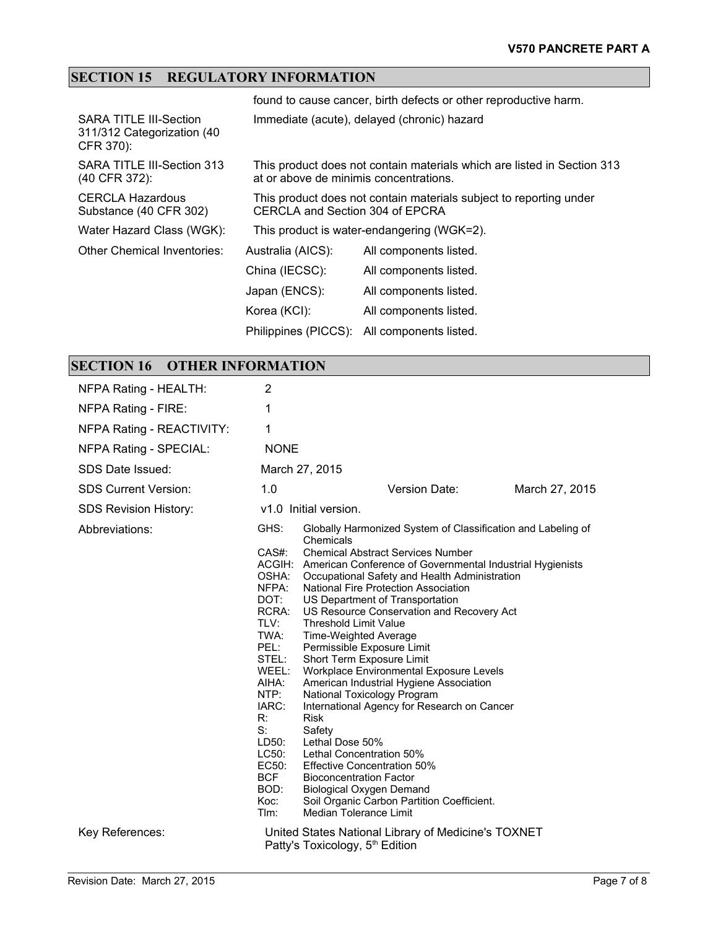# **SECTION 15 REGULATORY INFORMATION**

|                                                                          |                                        | found to cause cancer, birth defects or other reproductive harm.        |
|--------------------------------------------------------------------------|----------------------------------------|-------------------------------------------------------------------------|
| <b>SARA TITLE III-Section</b><br>311/312 Categorization (40<br>CFR 370): |                                        | Immediate (acute), delayed (chronic) hazard                             |
| SARA TITLE III-Section 313<br>(40 CFR 372):                              | at or above de minimis concentrations. | This product does not contain materials which are listed in Section 313 |
| <b>CERCLA Hazardous</b><br>Substance (40 CFR 302)                        | CERCLA and Section 304 of EPCRA        | This product does not contain materials subject to reporting under      |
| Water Hazard Class (WGK):                                                |                                        | This product is water-endangering (WGK=2).                              |
| Other Chemical Inventories:                                              | Australia (AICS):                      | All components listed.                                                  |
|                                                                          | China (IECSC):                         | All components listed.                                                  |
|                                                                          | Japan (ENCS):                          | All components listed.                                                  |
|                                                                          | Korea (KCI):                           | All components listed.                                                  |
|                                                                          | Philippines (PICCS):                   | All components listed.                                                  |

# **SECTION 16 OTHER INFORMATION**

| NFPA Rating - HEALTH:        | 2                                                                                                                                                                                                 |                                                                                                                                                                                                                                                                                                                                                                                                                                                                                                                                                                                                                                                                                                                                                                                                                                                                                                                       |                |
|------------------------------|---------------------------------------------------------------------------------------------------------------------------------------------------------------------------------------------------|-----------------------------------------------------------------------------------------------------------------------------------------------------------------------------------------------------------------------------------------------------------------------------------------------------------------------------------------------------------------------------------------------------------------------------------------------------------------------------------------------------------------------------------------------------------------------------------------------------------------------------------------------------------------------------------------------------------------------------------------------------------------------------------------------------------------------------------------------------------------------------------------------------------------------|----------------|
| NFPA Rating - FIRE:          | 1                                                                                                                                                                                                 |                                                                                                                                                                                                                                                                                                                                                                                                                                                                                                                                                                                                                                                                                                                                                                                                                                                                                                                       |                |
| NFPA Rating - REACTIVITY:    | 1                                                                                                                                                                                                 |                                                                                                                                                                                                                                                                                                                                                                                                                                                                                                                                                                                                                                                                                                                                                                                                                                                                                                                       |                |
| NFPA Rating - SPECIAL:       | <b>NONE</b>                                                                                                                                                                                       |                                                                                                                                                                                                                                                                                                                                                                                                                                                                                                                                                                                                                                                                                                                                                                                                                                                                                                                       |                |
| SDS Date Issued:             |                                                                                                                                                                                                   | March 27, 2015                                                                                                                                                                                                                                                                                                                                                                                                                                                                                                                                                                                                                                                                                                                                                                                                                                                                                                        |                |
| <b>SDS Current Version:</b>  | 1.0                                                                                                                                                                                               | Version Date:                                                                                                                                                                                                                                                                                                                                                                                                                                                                                                                                                                                                                                                                                                                                                                                                                                                                                                         | March 27, 2015 |
| <b>SDS Revision History:</b> |                                                                                                                                                                                                   | v1.0 Initial version.                                                                                                                                                                                                                                                                                                                                                                                                                                                                                                                                                                                                                                                                                                                                                                                                                                                                                                 |                |
| Abbreviations:               | GHS:<br>CAS#:<br>OSHA:<br>NFPA:<br>DOT:<br>RCRA:<br>TLV:<br>TWA:<br>PEL:<br>STEL:<br>WEEL:<br>AIHA:<br>NTP:<br>IARC:<br>R:<br>S:<br>LD50:<br>LC50:<br>EC50:<br><b>BCF</b><br>BOD:<br>Koc:<br>Tlm: | Globally Harmonized System of Classification and Labeling of<br>Chemicals<br><b>Chemical Abstract Services Number</b><br>ACGIH: American Conference of Governmental Industrial Hygienists<br>Occupational Safety and Health Administration<br>National Fire Protection Association<br>US Department of Transportation<br>US Resource Conservation and Recovery Act<br><b>Threshold Limit Value</b><br>Time-Weighted Average<br>Permissible Exposure Limit<br>Short Term Exposure Limit<br>Workplace Environmental Exposure Levels<br>American Industrial Hygiene Association<br>National Toxicology Program<br>International Agency for Research on Cancer<br><b>Risk</b><br>Safety<br>Lethal Dose 50%<br>Lethal Concentration 50%<br><b>Effective Concentration 50%</b><br><b>Bioconcentration Factor</b><br><b>Biological Oxygen Demand</b><br>Soil Organic Carbon Partition Coefficient.<br>Median Tolerance Limit |                |
| Key References:              |                                                                                                                                                                                                   | United States National Library of Medicine's TOXNET<br>Patty's Toxicology, 5 <sup>th</sup> Edition                                                                                                                                                                                                                                                                                                                                                                                                                                                                                                                                                                                                                                                                                                                                                                                                                    |                |